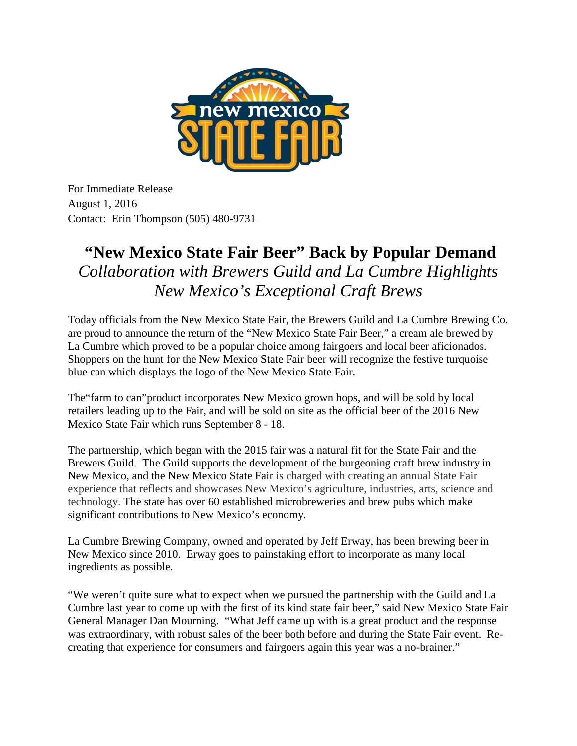

For Immediate Release August 1, 2016 Contact: Erin Thompson (505) 480-9731

## **"New Mexico State Fair Beer" Back by Popular Demand** *Collaboration with Brewers Guild and La Cumbre Highlights New Mexico's Exceptional Craft Brews*

Today officials from the New Mexico State Fair, the Brewers Guild and La Cumbre Brewing Co. are proud to announce the return of the "New Mexico State Fair Beer," a cream ale brewed by La Cumbre which proved to be a popular choice among fairgoers and local beer aficionados. Shoppers on the hunt for the New Mexico State Fair beer will recognize the festive turquoise blue can which displays the logo of the New Mexico State Fair.

The"farm to can"product incorporates New Mexico grown hops, and will be sold by local retailers leading up to the Fair, and will be sold on site as the official beer of the 2016 New Mexico State Fair which runs September 8 - 18.

The partnership, which began with the 2015 fair was a natural fit for the State Fair and the Brewers Guild. The Guild supports the development of the burgeoning craft brew industry in New Mexico, and the New Mexico State Fair is charged with creating an annual State Fair experience that reflects and showcases New Mexico's agriculture, industries, arts, science and technology. The state has over 60 established microbreweries and brew pubs which make significant contributions to New Mexico's economy.

La Cumbre Brewing Company, owned and operated by Jeff Erway, has been brewing beer in New Mexico since 2010. Erway goes to painstaking effort to incorporate as many local ingredients as possible.

"We weren't quite sure what to expect when we pursued the partnership with the Guild and La Cumbre last year to come up with the first of its kind state fair beer," said New Mexico State Fair General Manager Dan Mourning. "What Jeff came up with is a great product and the response was extraordinary, with robust sales of the beer both before and during the State Fair event. Recreating that experience for consumers and fairgoers again this year was a no-brainer."